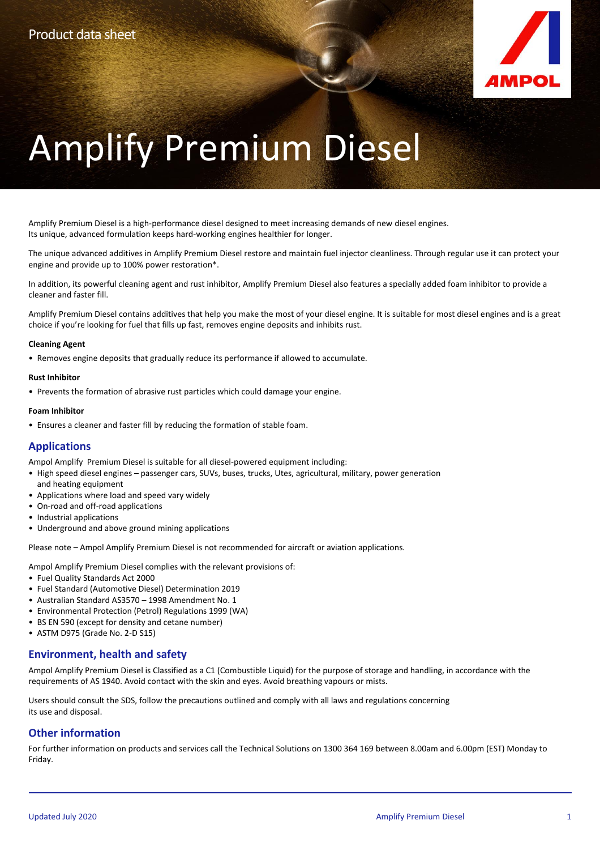

# Amplify Premium Diesel

Amplify Premium Diesel is a high-performance diesel designed to meet increasing demands of new diesel engines. Its unique, advanced formulation keeps hard-working engines healthier for longer.

The unique advanced additives in Amplify Premium Diesel restore and maintain fuel injector cleanliness. Through regular use it can protect your engine and provide up to 100% power restoration\*.

In addition, its powerful cleaning agent and rust inhibitor, Amplify Premium Diesel also features a specially added foam inhibitor to provide a cleaner and faster fill.

Amplify Premium Diesel contains additives that help you make the most of your diesel engine. It is suitable for most diesel engines and is a great choice if you're looking for fuel that fills up fast, removes engine deposits and inhibits rust.

### **Cleaning Agent**

• Removes engine deposits that gradually reduce its performance if allowed to accumulate.

### **Rust Inhibitor**

• Prevents the formation of abrasive rust particles which could damage your engine.

### **Foam Inhibitor**

• Ensures a cleaner and faster fill by reducing the formation of stable foam.

## **Applications**

Ampol Amplify Premium Diesel is suitable for all diesel-powered equipment including:

- High speed diesel engines passenger cars, SUVs, buses, trucks, Utes, agricultural, military, power generation and heating equipment
- Applications where load and speed vary widely
- On-road and off-road applications
- Industrial applications
- Underground and above ground mining applications

Please note – Ampol Amplify Premium Diesel is not recommended for aircraft or aviation applications.

Ampol Amplify Premium Diesel complies with the relevant provisions of:

• Fuel Quality Standards Act 2000

- Fuel Standard (Automotive Diesel) Determination 2019
- Australian Standard AS3570 1998 Amendment No. 1
- Environmental Protection (Petrol) Regulations 1999 (WA)
- BS EN 590 (except for density and cetane number)
- ASTM D975 (Grade No. 2-D S15)

## **Environment, health and safety**

Ampol Amplify Premium Diesel is Classified as a C1 (Combustible Liquid) for the purpose of storage and handling, in accordance with the requirements of AS 1940. Avoid contact with the skin and eyes. Avoid breathing vapours or mists.

Users should consult the SDS, follow the precautions outlined and comply with all laws and regulations concerning its use and disposal.

## **Other information**

For further information on products and services call the Technical Solutions on 1300 364 169 between 8.00am and 6.00pm (EST) Monday to Friday.